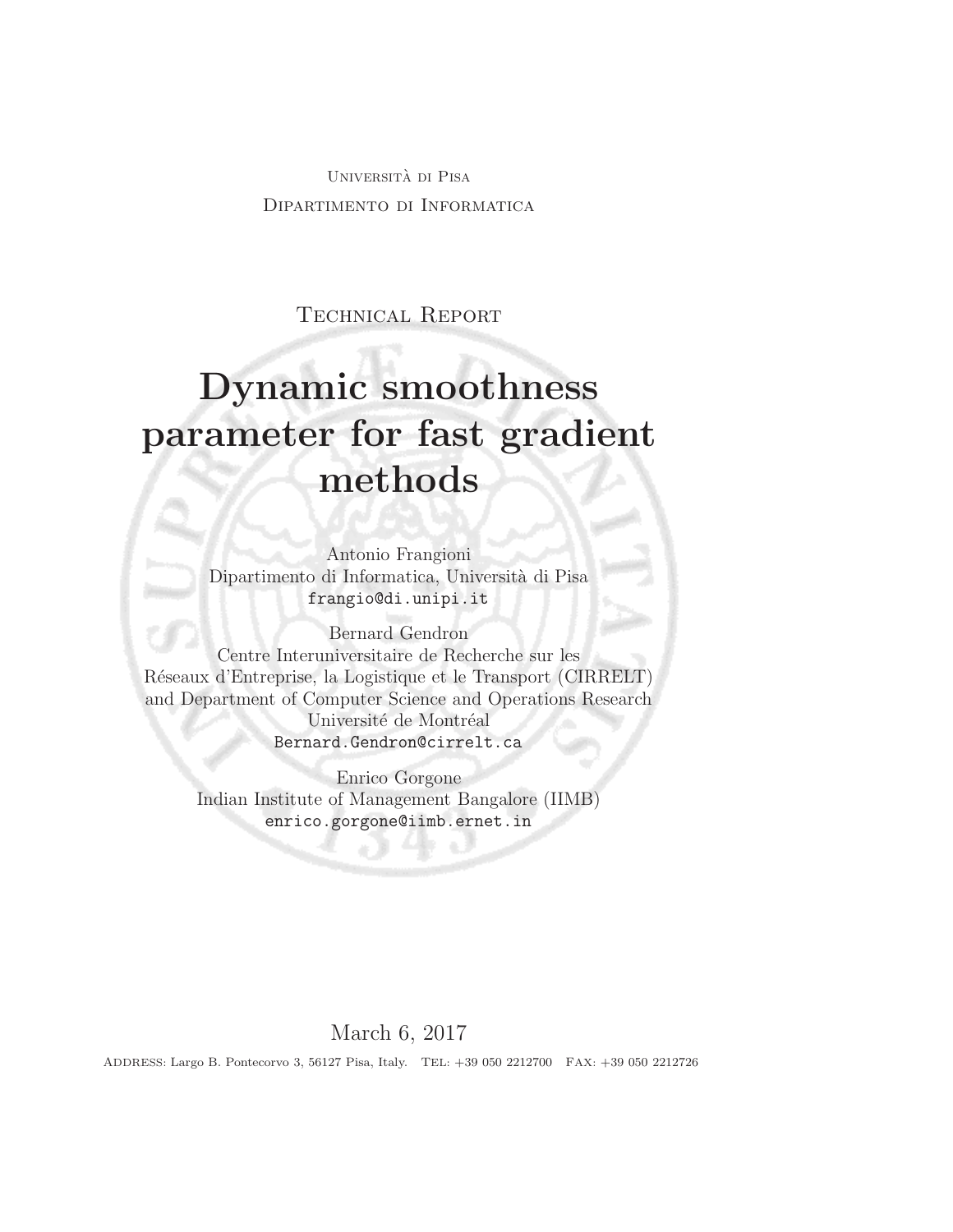Universita di Pisa ` Dipartimento di Informatica

Technical Report

# Dynamic smoothness parameter for fast gradient methods

Antonio Frangioni Dipartimento di Informatica, Universit`a di Pisa frangio@di.unipi.it

Bernard Gendron Centre Interuniversitaire de Recherche sur les R´eseaux d'Entreprise, la Logistique et le Transport (CIRRELT) and Department of Computer Science and Operations Research Université de Montréal Bernard.Gendron@cirrelt.ca

> Enrico Gorgone Indian Institute of Management Bangalore (IIMB) enrico.gorgone@iimb.ernet.in

# March 6, 2017

ADDRESS: Largo B. Pontecorvo 3, 56127 Pisa, Italy. TEL: +39 050 2212700 FAX: +39 050 2212726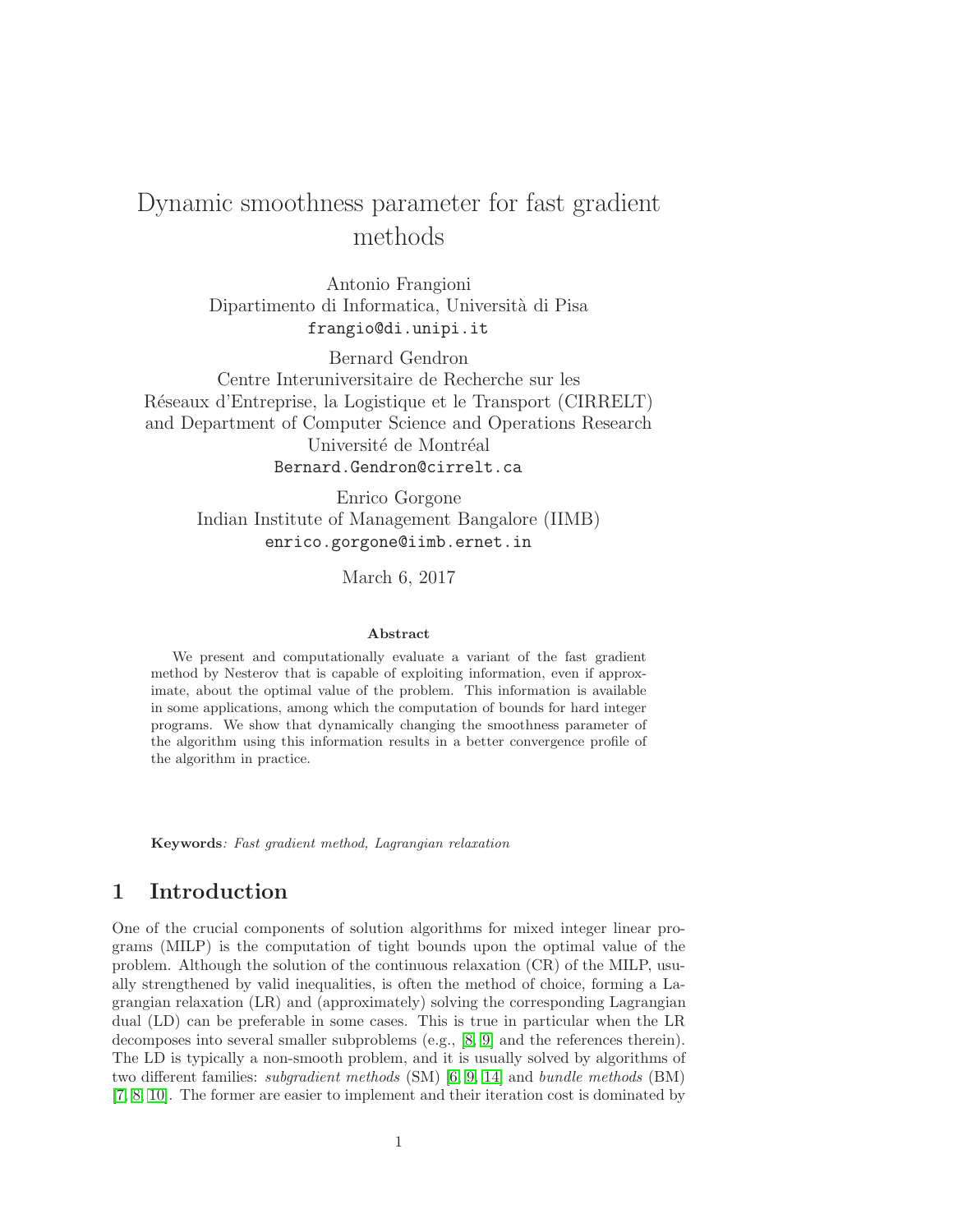# Dynamic smoothness parameter for fast gradient methods

Antonio Frangioni Dipartimento di Informatica, Universit`a di Pisa frangio@di.unipi.it

Bernard Gendron Centre Interuniversitaire de Recherche sur les R´eseaux d'Entreprise, la Logistique et le Transport (CIRRELT) and Department of Computer Science and Operations Research Université de Montréal Bernard.Gendron@cirrelt.ca

> Enrico Gorgone Indian Institute of Management Bangalore (IIMB) enrico.gorgone@iimb.ernet.in

> > March 6, 2017

#### Abstract

We present and computationally evaluate a variant of the fast gradient method by Nesterov that is capable of exploiting information, even if approximate, about the optimal value of the problem. This information is available in some applications, among which the computation of bounds for hard integer programs. We show that dynamically changing the smoothness parameter of the algorithm using this information results in a better convergence profile of the algorithm in practice.

Keywords: Fast gradient method, Lagrangian relaxation

# 1 Introduction

One of the crucial components of solution algorithms for mixed integer linear programs (MILP) is the computation of tight bounds upon the optimal value of the problem. Although the solution of the continuous relaxation (CR) of the MILP, usually strengthened by valid inequalities, is often the method of choice, forming a Lagrangian relaxation (LR) and (approximately) solving the corresponding Lagrangian dual (LD) can be preferable in some cases. This is true in particular when the LR decomposes into several smaller subproblems (e.g., [\[8,](#page-11-0) [9\]](#page-11-1) and the references therein). The LD is typically a non-smooth problem, and it is usually solved by algorithms of two different families: subgradient methods (SM) [\[6,](#page-11-2) [9,](#page-11-1) [14\]](#page-11-3) and bundle methods (BM) [\[7,](#page-11-4) [8,](#page-11-0) [10\]](#page-11-5). The former are easier to implement and their iteration cost is dominated by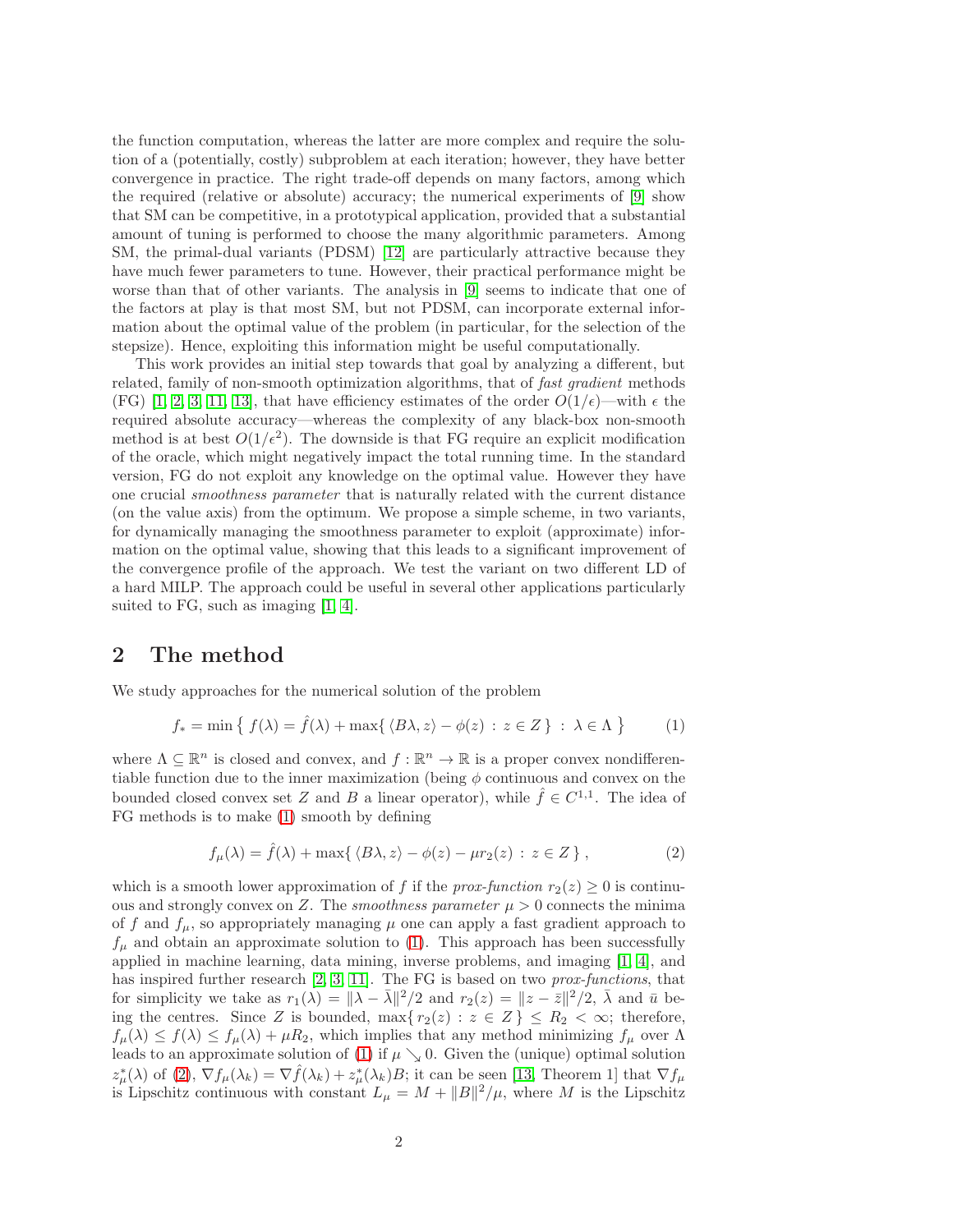the function computation, whereas the latter are more complex and require the solution of a (potentially, costly) subproblem at each iteration; however, they have better convergence in practice. The right trade-off depends on many factors, among which the required (relative or absolute) accuracy; the numerical experiments of [\[9\]](#page-11-1) show that SM can be competitive, in a prototypical application, provided that a substantial amount of tuning is performed to choose the many algorithmic parameters. Among SM, the primal-dual variants (PDSM) [\[12\]](#page-11-6) are particularly attractive because they have much fewer parameters to tune. However, their practical performance might be worse than that of other variants. The analysis in [\[9\]](#page-11-1) seems to indicate that one of the factors at play is that most SM, but not PDSM, can incorporate external information about the optimal value of the problem (in particular, for the selection of the stepsize). Hence, exploiting this information might be useful computationally.

This work provides an initial step towards that goal by analyzing a different, but related, family of non-smooth optimization algorithms, that of fast gradient methods (FG) [\[1,](#page-10-0) [2,](#page-10-1) [3,](#page-10-2) [11,](#page-11-7) [13\]](#page-11-8), that have efficiency estimates of the order  $O(1/\epsilon)$ —with  $\epsilon$  the required absolute accuracy—whereas the complexity of any black-box non-smooth method is at best  $O(1/\epsilon^2)$ . The downside is that FG require an explicit modification of the oracle, which might negatively impact the total running time. In the standard version, FG do not exploit any knowledge on the optimal value. However they have one crucial smoothness parameter that is naturally related with the current distance (on the value axis) from the optimum. We propose a simple scheme, in two variants, for dynamically managing the smoothness parameter to exploit (approximate) information on the optimal value, showing that this leads to a significant improvement of the convergence profile of the approach. We test the variant on two different LD of a hard MILP. The approach could be useful in several other applications particularly suited to FG, such as imaging [\[1,](#page-10-0) [4\]](#page-10-3).

#### 2 The method

We study approaches for the numerical solution of the problem

<span id="page-3-0"></span>
$$
f_* = \min\left\{ f(\lambda) = \hat{f}(\lambda) + \max\{ \langle B\lambda, z \rangle - \phi(z) : z \in Z \} : \lambda \in \Lambda \right\}
$$
 (1)

where  $\Lambda \subseteq \mathbb{R}^n$  is closed and convex, and  $f : \mathbb{R}^n \to \mathbb{R}$  is a proper convex nondifferentiable function due to the inner maximization (being  $\phi$  continuous and convex on the bounded closed convex set Z and B a linear operator), while  $\hat{f} \in C^{1,1}$ . The idea of FG methods is to make [\(1\)](#page-3-0) smooth by defining

<span id="page-3-1"></span>
$$
f_{\mu}(\lambda) = \hat{f}(\lambda) + \max\{ \langle B\lambda, z \rangle - \phi(z) - \mu r_2(z) : z \in Z \},
$$
 (2)

which is a smooth lower approximation of f if the prox-function  $r_2(z) \geq 0$  is continuous and strongly convex on Z. The *smoothness parameter*  $\mu > 0$  connects the minima of f and  $f_{\mu}$ , so appropriately managing  $\mu$  one can apply a fast gradient approach to  $f_{\mu}$  and obtain an approximate solution to [\(1\)](#page-3-0). This approach has been successfully applied in machine learning, data mining, inverse problems, and imaging [\[1,](#page-10-0) [4\]](#page-10-3), and has inspired further research [\[2,](#page-10-1) [3,](#page-10-2) [11\]](#page-11-7). The FG is based on two *prox-functions*, that for simplicity we take as  $r_1(\lambda) = \|\lambda - \bar{\lambda}\|^2/2$  and  $r_2(z) = \|z - \bar{z}\|^2/2$ ,  $\bar{\lambda}$  and  $\bar{u}$  being the centres. Since Z is bounded,  $\max\{r_2(z) : z \in Z\} \leq R_2 < \infty$ ; therefore,  $f_{\mu}(\lambda) \leq f(\lambda) \leq f_{\mu}(\lambda) + \mu R_2$ , which implies that any method minimizing  $f_{\mu}$  over  $\Lambda$ leads to an approximate solution of [\(1\)](#page-3-0) if  $\mu \searrow 0$ . Given the (unique) optimal solution  $z^*_{\mu}(\lambda)$  of [\(2\)](#page-3-1),  $\nabla f_{\mu}(\lambda_k) = \nabla \hat{f}(\lambda_k) + z^*_{\mu}(\lambda_k)B$ ; it can be seen [\[13,](#page-11-8) Theorem 1] that  $\nabla f_{\mu}$ is Lipschitz continuous with constant  $L_{\mu} = M + ||B||^2/\mu$ , where M is the Lipschitz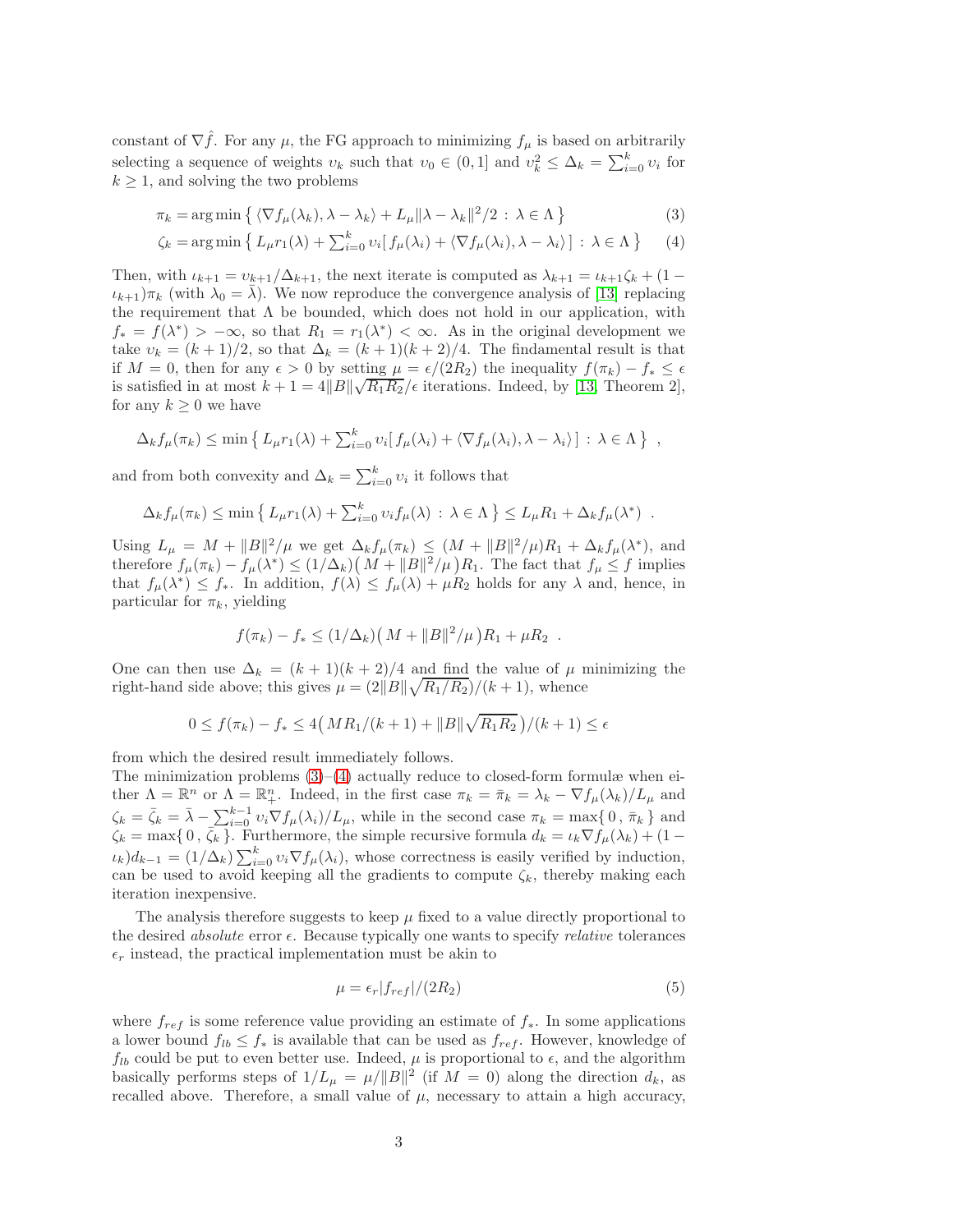constant of  $\nabla \hat{f}$ . For any  $\mu$ , the FG approach to minimizing  $f_{\mu}$  is based on arbitrarily selecting a sequence of weights  $v_k$  such that  $v_0 \in (0,1]$  and  $v_k^2 \leq \Delta_k = \sum_{i=0}^k v_i$  for  $k \geq 1$ , and solving the two problems

$$
\pi_k = \arg\min\left\{ \langle \nabla f_\mu(\lambda_k), \lambda - \lambda_k \rangle + L_\mu \|\lambda - \lambda_k\|^2 / 2 : \lambda \in \Lambda \right\} \tag{3}
$$

<span id="page-4-1"></span><span id="page-4-0"></span>
$$
\zeta_k = \arg\min \left\{ L_\mu r_1(\lambda) + \sum_{i=0}^k \nu_i \left[ f_\mu(\lambda_i) + \langle \nabla f_\mu(\lambda_i), \lambda - \lambda_i \rangle \right] : \lambda \in \Lambda \right\} \tag{4}
$$

Then, with  $\iota_{k+1} = v_{k+1}/\Delta_{k+1}$ , the next iterate is computed as  $\lambda_{k+1} = \iota_{k+1}\zeta_k + (1 - \iota_k)\zeta_k$  $\iota_{k+1}$ ) $\pi_k$  (with  $\lambda_0 = \lambda$ ). We now reproduce the convergence analysis of [\[13\]](#page-11-8) replacing the requirement that  $\Lambda$  be bounded, which does not hold in our application, with  $f_* = f(\lambda^*) > -\infty$ , so that  $R_1 = r_1(\lambda^*) < \infty$ . As in the original development we take  $v_k = (k+1)/2$ , so that  $\Delta_k = (k+1)(k+2)/4$ . The findamental result is that if  $M = 0$ , then for any  $\epsilon > 0$  by setting  $\mu = \epsilon/(2R_2)$  the inequality  $f(\pi_k) - f_* \leq \epsilon$ is satisfied in at most  $k + 1 = 4||B||\sqrt{R_1R_2}/\epsilon$  iterations. Indeed, by [\[13,](#page-11-8) Theorem 2], for any  $k \geq 0$  we have

$$
\Delta_k f_\mu(\pi_k) \le \min \left\{ L_\mu r_1(\lambda) + \sum_{i=0}^k \nu_i [f_\mu(\lambda_i) + \langle \nabla f_\mu(\lambda_i), \lambda - \lambda_i \rangle] : \lambda \in \Lambda \right\} ,
$$

and from both convexity and  $\Delta_k = \sum_{i=0}^k v_i$  it follows that

$$
\Delta_k f_\mu(\pi_k) \le \min \left\{ L_\mu r_1(\lambda) + \sum_{i=0}^k \nu_i f_\mu(\lambda) \, : \, \lambda \in \Lambda \right\} \le L_\mu R_1 + \Delta_k f_\mu(\lambda^*) \; .
$$

Using  $L_{\mu} = M + ||B||^2/\mu$  we get  $\Delta_k f_{\mu}(\pi_k) \leq (M + ||B||^2/\mu)R_1 + \Delta_k f_{\mu}(\lambda^*),$  and therefore  $f_{\mu}(\pi_k) - f_{\mu}(\lambda^*) \leq (1/\Delta_k) (M + ||B||^2/\mu) R_1$ . The fact that  $f_{\mu} \leq f$  implies that  $f_{\mu}(\lambda^*) \leq f_*$ . In addition,  $f(\lambda) \leq f_{\mu}(\lambda) + \mu R_2$  holds for any  $\lambda$  and, hence, in particular for  $\pi_k$ , yielding

$$
f(\pi_k) - f_* \leq (1/\Delta_k) (M + ||B||^2 / \mu) R_1 + \mu R_2.
$$

One can then use  $\Delta_k = (k+1)(k+2)/4$  and find the value of  $\mu$  minimizing the right-hand side above; this gives  $\mu = \frac{2||B||\sqrt{R_1/R_2}}{k+1}$ , whence

$$
0 \le f(\pi_k) - f_* \le 4\left(MR_1/(k+1) + ||B||\sqrt{R_1R_2}\right)/(k+1) \le \epsilon
$$

from which the desired result immediately follows.

The minimization problems  $(3)$ – $(4)$  actually reduce to closed-form formulæ when either  $\Lambda = \mathbb{R}^n$  or  $\Lambda = \mathbb{R}^n_+$ . Indeed, in the first case  $\pi_k = \bar{\pi}_k = \lambda_k - \nabla f_\mu(\lambda_k)/L_\mu$  and  $\zeta_k = \bar{\zeta}_k = \bar{\lambda} - \sum_{i=0}^{k-1} v_i \nabla f_\mu(\lambda_i) / L_\mu$ , while in the second case  $\pi_k = \max\{0, \bar{\pi}_k\}$  and  $\zeta_k = \max\{0, \overline{\zeta_k}\}.$  Furthermore, the simple recursive formula  $d_k = \iota_k \nabla f_\mu(\lambda_k) + (1 - \overline{\zeta_k})^2$  $\iota_k d_{k-1} = (1/\Delta_k) \sum_{i=0}^k v_i \nabla f_\mu(\lambda_i)$ , whose correctness is easily verified by induction, can be used to avoid keeping all the gradients to compute  $\zeta_k$ , thereby making each iteration inexpensive.

The analysis therefore suggests to keep  $\mu$  fixed to a value directly proportional to the desired *absolute* error  $\epsilon$ . Because typically one wants to specify *relative* tolerances  $\epsilon_r$  instead, the practical implementation must be akin to

<span id="page-4-2"></span>
$$
\mu = \epsilon_r |f_{ref}| / (2R_2) \tag{5}
$$

where  $f_{ref}$  is some reference value providing an estimate of  $f_*$ . In some applications a lower bound  $f_{lb} \leq f_*$  is available that can be used as  $f_{ref}$ . However, knowledge of  $f_{lb}$  could be put to even better use. Indeed,  $\mu$  is proportional to  $\epsilon$ , and the algorithm basically performs steps of  $1/L_{\mu} = \mu/||B||^2$  (if  $M = 0$ ) along the direction  $d_k$ , as recalled above. Therefore, a small value of  $\mu$ , necessary to attain a high accuracy,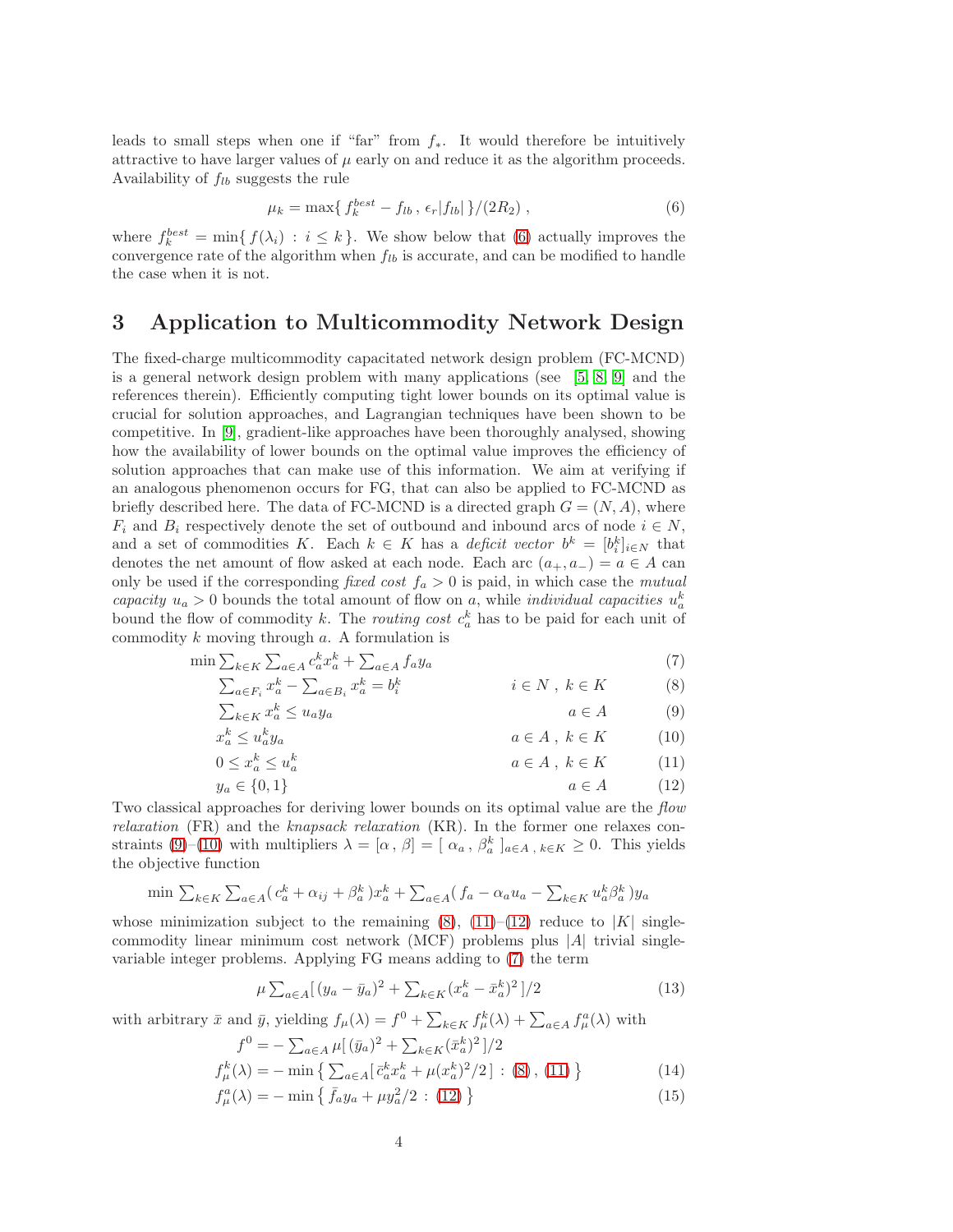leads to small steps when one if "far" from  $f_*$ . It would therefore be intuitively attractive to have larger values of  $\mu$  early on and reduce it as the algorithm proceeds. Availability of  $f_{lb}$  suggests the rule

<span id="page-5-0"></span>
$$
\mu_k = \max\{f_k^{best} - f_{lb}, \, \epsilon_r |f_{lb}| \}/(2R_2) \,,\tag{6}
$$

where  $f_k^{best} = \min\{f(\lambda_i) : i \leq k\}$ . We show below that [\(6\)](#page-5-0) actually improves the convergence rate of the algorithm when  $f_{lb}$  is accurate, and can be modified to handle the case when it is not.

# 3 Application to Multicommodity Network Design

The fixed-charge multicommodity capacitated network design problem (FC-MCND) is a general network design problem with many applications (see [\[5,](#page-10-4) [8,](#page-11-0) [9\]](#page-11-1) and the references therein). Efficiently computing tight lower bounds on its optimal value is crucial for solution approaches, and Lagrangian techniques have been shown to be competitive. In [\[9\]](#page-11-1), gradient-like approaches have been thoroughly analysed, showing how the availability of lower bounds on the optimal value improves the efficiency of solution approaches that can make use of this information. We aim at verifying if an analogous phenomenon occurs for FG, that can also be applied to FC-MCND as briefly described here. The data of FC-MCND is a directed graph  $G = (N, A)$ , where  $F_i$  and  $B_i$  respectively denote the set of outbound and inbound arcs of node  $i \in N$ , and a set of commodities K. Each  $k \in K$  has a deficit vector  $b^k = [b_i^k]_{i \in N}$  that denotes the net amount of flow asked at each node. Each arc  $(a_+, a_-) = a \in A$  can only be used if the corresponding fixed cost  $f_a > 0$  is paid, in which case the mutual capacity  $u_a > 0$  bounds the total amount of flow on a, while *individual capacities*  $u_a^k$ bound the flow of commodity k. The *routing cost*  $c_a^k$  has to be paid for each unit of commodity  $k$  moving through  $a$ . A formulation is

$$
\min \sum_{k \in K} \sum_{a \in A} c_a^k x_a^k + \sum_{a \in A} f_a y_a \tag{7}
$$
\n
$$
\sum_{a^k} c_a^k \sum_{k} c_b^k = b^k \tag{8}
$$

$$
\sum_{a \in F_i} x_a^k - \sum_{a \in B_i} x_a^k = b_i^k \qquad i \in N, \ k \in K \qquad (8)
$$
  

$$
\sum_{k \in K} x_a^k \le u_a y_a \qquad a \in A \qquad (9)
$$

$$
\sum_{k \in K} x_a^k \le u_a y_a \qquad a \in A \tag{9}
$$
\n
$$
a \in A \tag{9}
$$

$$
x_a^k \le u_a^k y_a \qquad a \in A, \ k \in K \qquad (10)
$$
  

$$
0 \le x_a^k \le u_a^k \qquad a \in A, \ k \in K \qquad (11)
$$

<span id="page-5-6"></span><span id="page-5-5"></span><span id="page-5-4"></span><span id="page-5-3"></span><span id="page-5-2"></span><span id="page-5-1"></span>
$$
\leq x_a^k \leq u_a^k \qquad \qquad a \in A \, , \, k \in K \tag{11}
$$

$$
y_a \in \{0, 1\} \qquad a \in A \tag{12}
$$

Two classical approaches for deriving lower bounds on its optimal value are the *flow* relaxation (FR) and the knapsack relaxation (KR). In the former one relaxes con-straints [\(9\)](#page-5-1)–[\(10\)](#page-5-2) with multipliers  $\lambda = [\alpha, \beta] = [\alpha_a, \beta_a^k]_{a \in A, k \in K} \ge 0$ . This yields the objective function

$$
\min \sum_{k \in K} \sum_{a \in A} (c_a^k + \alpha_{ij} + \beta_a^k) x_a^k + \sum_{a \in A} (f_a - \alpha_a u_a - \sum_{k \in K} u_a^k \beta_a^k) y_a
$$

whose minimization subject to the remaining  $(8)$ ,  $(11)$ – $(12)$  reduce to  $|K|$  singlecommodity linear minimum cost network (MCF) problems plus |A| trivial singlevariable integer problems. Applying FG means adding to [\(7\)](#page-5-6) the term

<span id="page-5-9"></span><span id="page-5-8"></span><span id="page-5-7"></span>
$$
\mu \sum_{a \in A} \left[ (y_a - \bar{y}_a)^2 + \sum_{k \in K} (x_a^k - \bar{x}_a^k)^2 \right] / 2 \tag{13}
$$

with arbitrary  $\bar{x}$  and  $\bar{y}$ , yielding  $f_{\mu}(\lambda) = f^0 + \sum_{k \in K} f_{\mu}^k(\lambda) + \sum_{a \in A} f_{\mu}^a(\lambda)$  with

$$
f^{0} = -\sum_{a \in A} \mu [(\bar{y}_{a})^{2} + \sum_{k \in K} (\bar{x}_{a}^{k})^{2}]/2
$$
  

$$
f_{\mu}^{k}(\lambda) = -\min \{ \sum_{a \in A} [\bar{c}_{a}^{k} x_{a}^{k} + \mu (x_{a}^{k})^{2}/2] : (8), (11) \}
$$
 (14)

$$
f_{\mu}^{a}(\lambda) = -\min\left\{\bar{f}_{a}y_{a} + \mu y_{a}^{2}/2 : (12)\right\}
$$
 (15)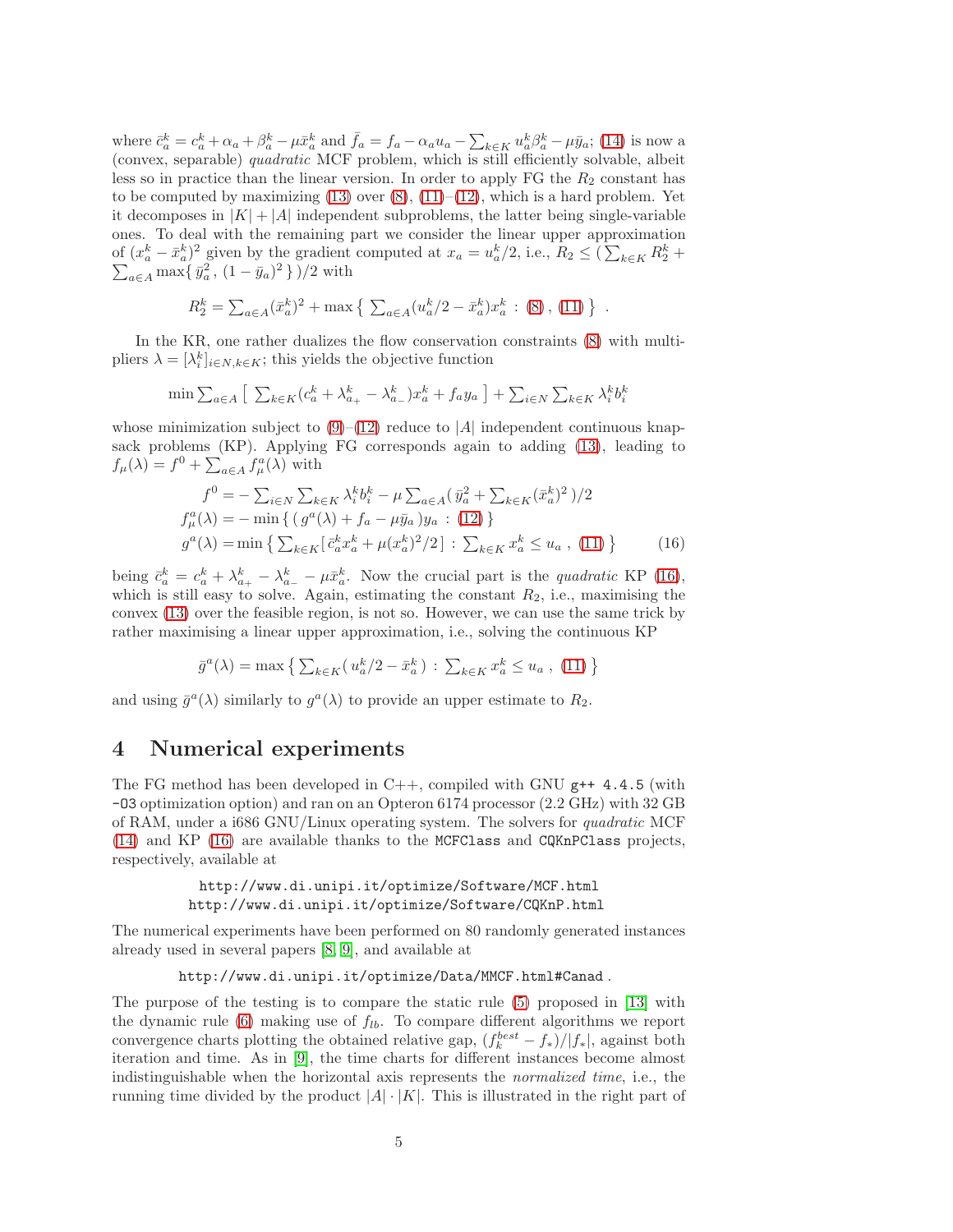where  $\bar{c}_a^k = c_a^k + \alpha_a + \beta_a^k - \mu \bar{x}_a^k$  and  $\bar{f}_a = f_a - \alpha_a u_a - \sum_{k \in K} u_a^k \beta_a^k - \mu \bar{y}_a$ ; [\(14\)](#page-5-7) is now a (convex, separable) quadratic MCF problem, which is still efficiently solvable, albeit less so in practice than the linear version. In order to apply FG the  $R_2$  constant has to be computed by maximizing  $(13)$  over  $(8)$ ,  $(11)–(12)$  $(11)–(12)$ , which is a hard problem. Yet it decomposes in  $|K| + |A|$  independent subproblems, the latter being single-variable ones. To deal with the remaining part we consider the linear upper approximation of  $(x_a^k - \bar{x}_a^k)^2$  given by the gradient computed at  $x_a = u_a^k/2$ , i.e.,  $R_2 \leq (\sum_{k \in K} R_2^k +$  $\sum_{a \in A} \max\{\bar{y}_a^2, (1 - \bar{y}_a)^2\})/2$  with

$$
R_2^k = \sum_{a \in A} (\bar{x}_a^k)^2 + \max \left\{ \sum_{a \in A} (u_a^k/2 - \bar{x}_a^k) x_a^k : (8), (11) \right\}.
$$

In the KR, one rather dualizes the flow conservation constraints [\(8\)](#page-5-3) with multipliers  $\lambda = [\lambda_i^k]_{i \in N, k \in K}$ ; this yields the objective function

$$
\min \sum_{a \in A} \left[ \sum_{k \in K} (c_a^k + \lambda_{a_+}^k - \lambda_{a_-}^k) x_a^k + f_a y_a \right] + \sum_{i \in N} \sum_{k \in K} \lambda_i^k b_i^k
$$

whose minimization subject to  $(9)$ – $(12)$  reduce to |A| independent continuous knapsack problems (KP). Applying FG corresponds again to adding [\(13\)](#page-5-8), leading to  $f_{\mu}(\lambda) = f^0 + \sum_{a \in A} f_{\mu}^a(\lambda)$  with

<span id="page-6-0"></span>
$$
f^{0} = -\sum_{i \in N} \sum_{k \in K} \lambda_{i}^{k} b_{i}^{k} - \mu \sum_{a \in A} (\bar{y}_{a}^{2} + \sum_{k \in K} (\bar{x}_{a}^{k})^{2}) / 2
$$
  
\n
$$
f_{\mu}^{a}(\lambda) = -\min \{ (g^{a}(\lambda) + f_{a} - \mu \bar{y}_{a}) y_{a} : (12) \}
$$
  
\n
$$
g^{a}(\lambda) = \min \{ \sum_{k \in K} [\bar{c}_{a}^{k} x_{a}^{k} + \mu (x_{a}^{k})^{2} / 2] : \sum_{k \in K} x_{a}^{k} \le u_{a} , (11) \}
$$
 (16)

being  $\bar{c}_a^k = c_a^k + \lambda_{a_+}^k - \lambda_{a_-}^k - \mu \bar{x}_a^k$ . Now the crucial part is the *quadratic* KP [\(16\)](#page-6-0), which is still easy to solve. Again, estimating the constant  $R_2$ , i.e., maximising the convex [\(13\)](#page-5-8) over the feasible region, is not so. However, we can use the same trick by rather maximising a linear upper approximation, i.e., solving the continuous KP

$$
\bar{g}^{a}(\lambda) = \max \left\{ \sum_{k \in K} (u_{a}^{k}/2 - \bar{x}_{a}^{k}) : \sum_{k \in K} x_{a}^{k} \le u_{a}, (11) \right\}
$$

and using  $\bar{g}^a(\lambda)$  similarly to  $g^a(\lambda)$  to provide an upper estimate to  $R_2$ .

#### 4 Numerical experiments

The FG method has been developed in  $C_{++}$ , compiled with GNU  $g_{++}$  4.4.5 (with -O3 optimization option) and ran on an Opteron 6174 processor (2.2 GHz) with 32 GB of RAM, under a i686 GNU/Linux operating system. The solvers for quadratic MCF [\(14\)](#page-5-7) and KP [\(16\)](#page-6-0) are available thanks to the MCFClass and CQKnPClass projects, respectively, available at

> http://www.di.unipi.it/optimize/Software/MCF.html http://www.di.unipi.it/optimize/Software/CQKnP.html

The numerical experiments have been performed on 80 randomly generated instances already used in several papers [\[8,](#page-11-0) [9\]](#page-11-1), and available at

```
http://www.di.unipi.it/optimize/Data/MMCF.html#Canad .
```
The purpose of the testing is to compare the static rule [\(5\)](#page-4-2) proposed in [\[13\]](#page-11-8) with the dynamic rule [\(6\)](#page-5-0) making use of  $f_{lb}$ . To compare different algorithms we report convergence charts plotting the obtained relative gap,  $\frac{f_k^{best} - f_*}{|f_k|}$ , against both iteration and time. As in [\[9\]](#page-11-1), the time charts for different instances become almost indistinguishable when the horizontal axis represents the normalized time, i.e., the running time divided by the product  $|A| \cdot |K|$ . This is illustrated in the right part of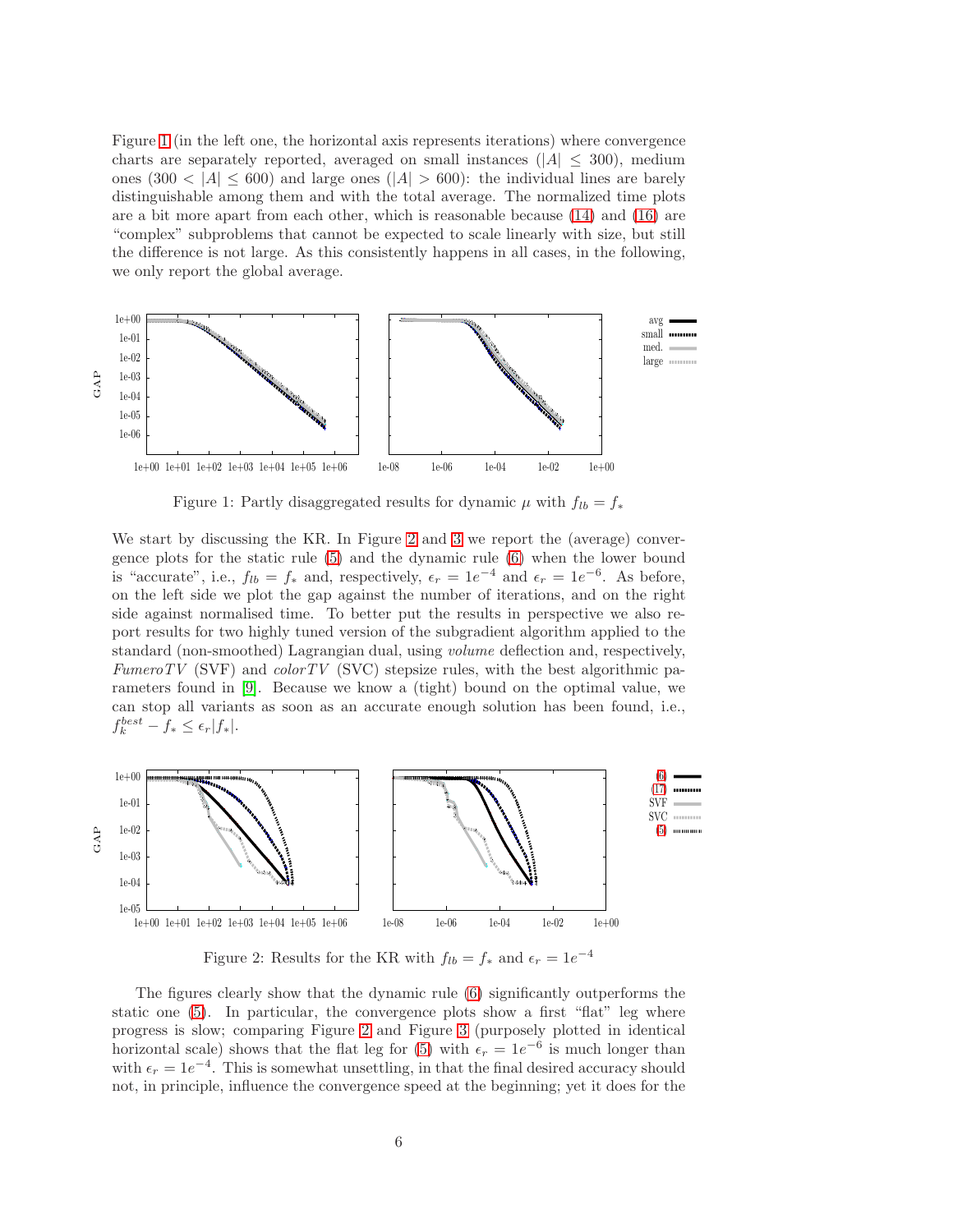Figure [1](#page-7-0) (in the left one, the horizontal axis represents iterations) where convergence charts are separately reported, averaged on small instances ( $|A| \leq 300$ ), medium ones (300 < |A|  $\leq$  600) and large ones (|A|  $>$  600): the individual lines are barely distinguishable among them and with the total average. The normalized time plots are a bit more apart from each other, which is reasonable because [\(14\)](#page-5-7) and [\(16\)](#page-6-0) are "complex" subproblems that cannot be expected to scale linearly with size, but still the difference is not large. As this consistently happens in all cases, in the following, we only report the global average.



<span id="page-7-0"></span>Figure 1: Partly disaggregated results for dynamic  $\mu$  with  $f_{lb} = f_*$ 

We start by discussing the KR. In Figure [2](#page-7-1) and [3](#page-8-0) we report the (average) convergence plots for the static rule [\(5\)](#page-4-2) and the dynamic rule [\(6\)](#page-5-0) when the lower bound is "accurate", i.e.,  $f_{lb} = f_*$  and, respectively,  $\epsilon_r = 1e^{-4}$  and  $\epsilon_r = 1e^{-6}$ . As before, on the left side we plot the gap against the number of iterations, and on the right side against normalised time. To better put the results in perspective we also report results for two highly tuned version of the subgradient algorithm applied to the standard (non-smoothed) Lagrangian dual, using volume deflection and, respectively, FumeroTV (SVF) and  $colorTV$  (SVC) stepsize rules, with the best algorithmic parameters found in [\[9\]](#page-11-1). Because we know a (tight) bound on the optimal value, we can stop all variants as soon as an accurate enough solution has been found, i.e.,  $f_k^{best} - f_* \leq \epsilon_r |f_*|.$ 



<span id="page-7-1"></span>Figure 2: Results for the KR with  $f_{lb} = f_*$  and  $\epsilon_r = 1e^{-4}$ 

The figures clearly show that the dynamic rule [\(6\)](#page-5-0) significantly outperforms the static one [\(5\)](#page-4-2). In particular, the convergence plots show a first "flat" leg where progress is slow; comparing Figure [2](#page-7-1) and Figure [3](#page-8-0) (purposely plotted in identical horizontal scale) shows that the flat leg for [\(5\)](#page-4-2) with  $\epsilon_r = 1e^{-6}$  is much longer than with  $\epsilon_r = 1e^{-4}$ . This is somewhat unsettling, in that the final desired accuracy should not, in principle, influence the convergence speed at the beginning; yet it does for the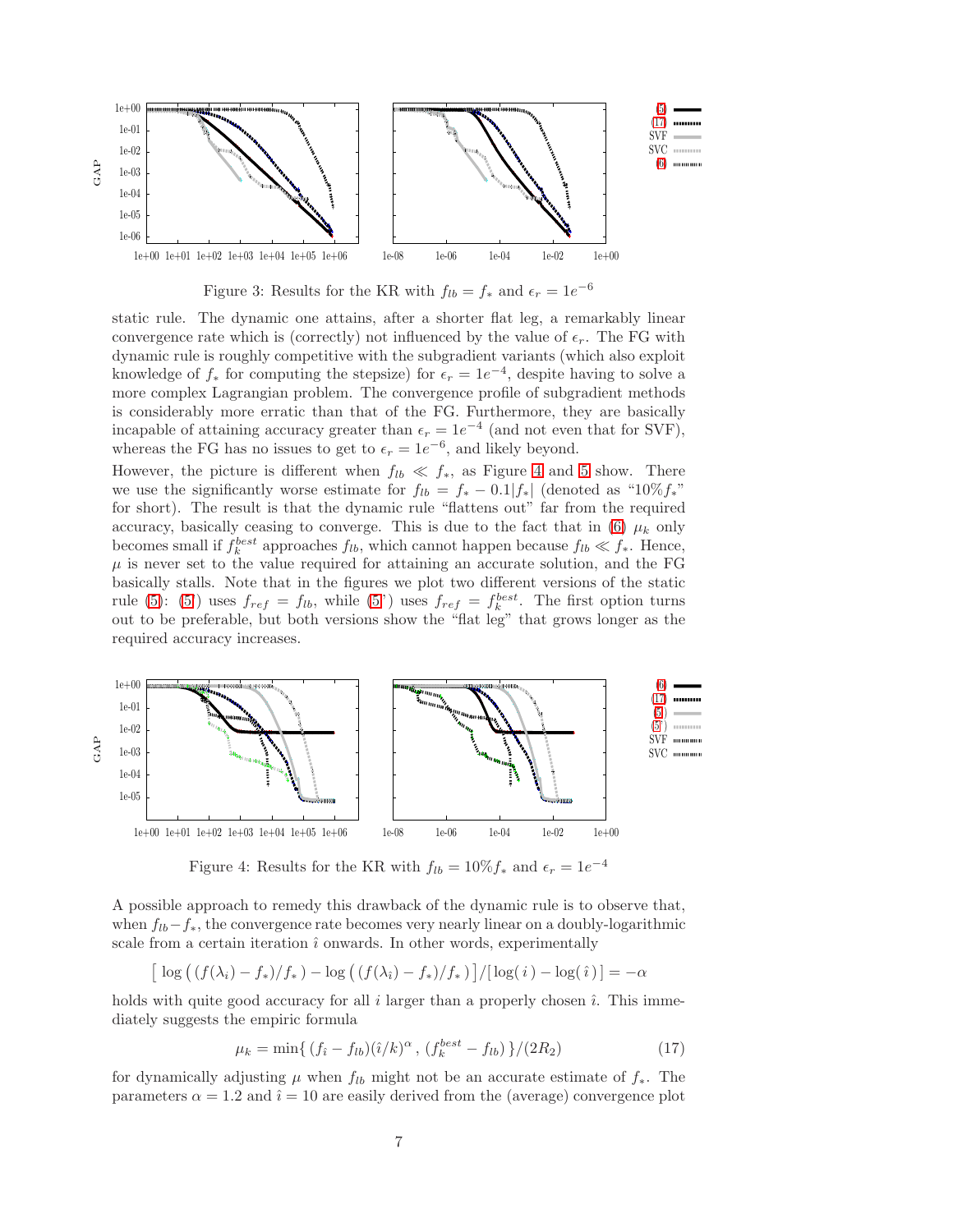

<span id="page-8-0"></span>Figure 3: Results for the KR with  $f_{lb} = f_*$  and  $\epsilon_r = 1e^{-6}$ 

static rule. The dynamic one attains, after a shorter flat leg, a remarkably linear convergence rate which is (correctly) not influenced by the value of  $\epsilon_r$ . The FG with dynamic rule is roughly competitive with the subgradient variants (which also exploit knowledge of  $f_*$  for computing the stepsize) for  $\epsilon_r = 1e^{-4}$ , despite having to solve a more complex Lagrangian problem. The convergence profile of subgradient methods is considerably more erratic than that of the FG. Furthermore, they are basically incapable of attaining accuracy greater than  $\epsilon_r = 1e^{-4}$  (and not even that for SVF), whereas the FG has no issues to get to  $\epsilon_r = 1e^{-6}$ , and likely beyond.

However, the picture is different when  $f_{lb} \ll f_*$ , as Figure [4](#page-8-2) and [5](#page-9-0) show. There we use the significantly worse estimate for  $f_{lb} = f_* - 0.1|f_*|$  (denoted as "10% $f_*$ " for short). The result is that the dynamic rule "flattens out" far from the required accuracy, basically ceasing to converge. This is due to the fact that in [\(6\)](#page-5-0)  $\mu_k$  only becomes small if  $f_k^{best}$  approaches  $f_{lb}$ , which cannot happen because  $f_{lb} \ll f_*$ . Hence,  $\mu$  is never set to the value required for attaining an accurate solution, and the FG basically stalls. Note that in the figures we plot two different versions of the static rule [\(5\)](#page-4-2): [\(5'](#page-4-2)) uses  $f_{ref} = f_{lb}$ , while [\(5"](#page-4-2)) uses  $f_{ref} = f_{k}^{best}$ . The first option turns out to be preferable, but both versions show the "flat leg" that grows longer as the required accuracy increases.



<span id="page-8-2"></span>Figure 4: Results for the KR with  $f_{lb} = 10\% f_*$  and  $\epsilon_r = 1e^{-4}$ 

A possible approach to remedy this drawback of the dynamic rule is to observe that, when  $f_{lb}-f_*$ , the convergence rate becomes very nearly linear on a doubly-logarithmic scale from a certain iteration  $\hat{i}$  onwards. In other words, experimentally

$$
\left[\log\left(\left(f(\lambda_i)-f_*\right)/f_*\right)-\log\left(\left(f(\lambda_i)-f_*\right)/f_*\right)\right]/\left[\log(i)-\log(i)\right]=- \alpha
$$

holds with quite good accuracy for all  $i$  larger than a properly chosen  $\hat{i}$ . This immediately suggests the empiric formula

<span id="page-8-1"></span>
$$
\mu_k = \min\{ (f_i - f_{lb})(\hat{i}/k)^{\alpha}, (f_k^{best} - f_{lb}) \}/(2R_2)
$$
 (17)

for dynamically adjusting  $\mu$  when  $f_{lb}$  might not be an accurate estimate of  $f_*$ . The parameters  $\alpha = 1.2$  and  $\hat{i} = 10$  are easily derived from the (average) convergence plot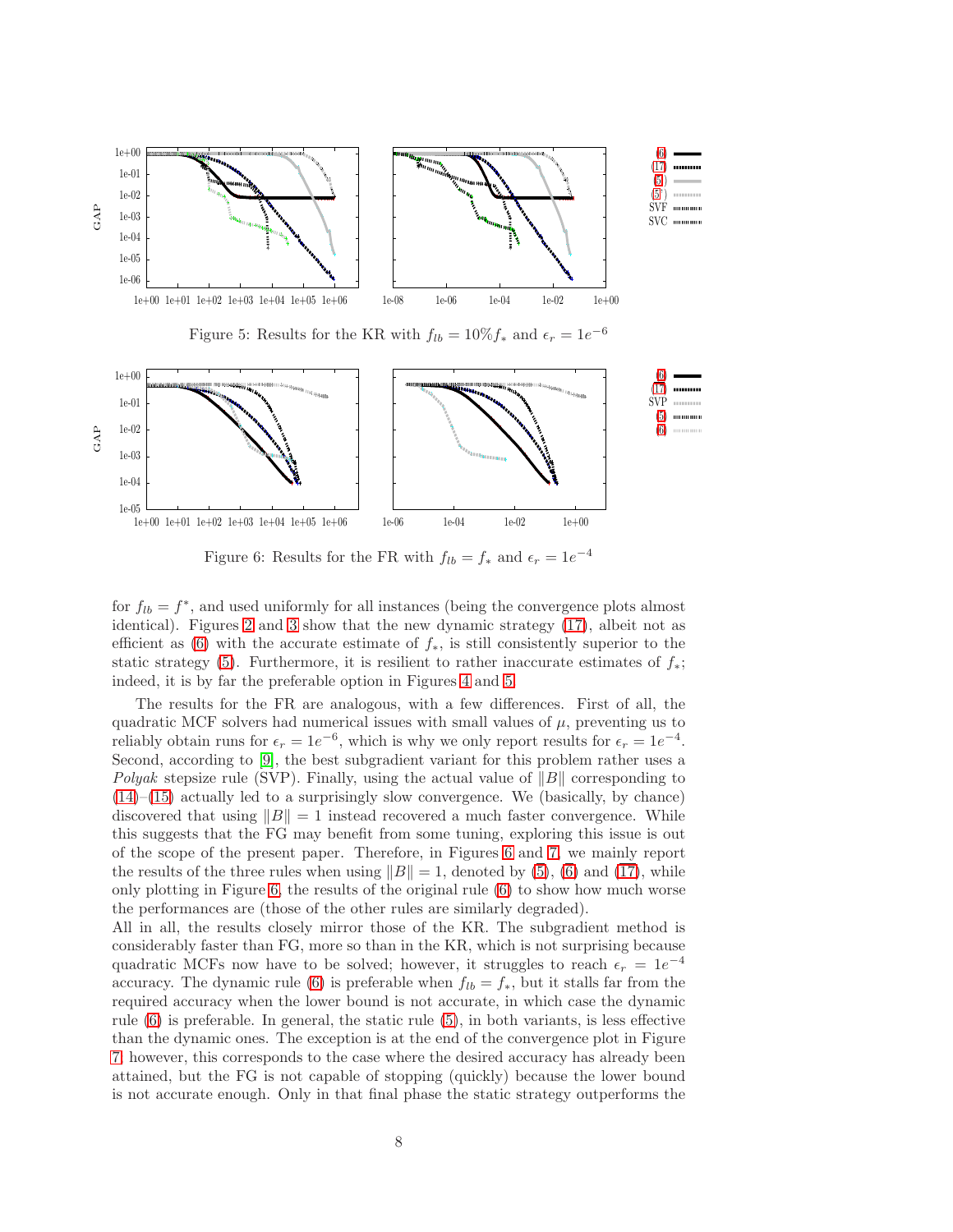

<span id="page-9-1"></span><span id="page-9-0"></span>Figure 6: Results for the FR with  $f_{lb} = f_*$  and  $\epsilon_r = 1e^{-4}$ 

for  $f_{lb} = f^*$ , and used uniformly for all instances (being the convergence plots almost identical). Figures [2](#page-7-1) and [3](#page-8-0) show that the new dynamic strategy [\(17\)](#page-8-1), albeit not as efficient as [\(6\)](#page-5-0) with the accurate estimate of  $f_*$ , is still consistently superior to the static strategy [\(5\)](#page-4-2). Furthermore, it is resilient to rather inaccurate estimates of  $f_*$ ; indeed, it is by far the preferable option in Figures [4](#page-8-2) and [5.](#page-9-0)

The results for the FR are analogous, with a few differences. First of all, the quadratic MCF solvers had numerical issues with small values of  $\mu$ , preventing us to reliably obtain runs for  $\epsilon_r = 1e^{-6}$ , which is why we only report results for  $\epsilon_r = 1e^{-4}$ . Second, according to [\[9\]](#page-11-1), the best subgradient variant for this problem rather uses a Polyak stepsize rule (SVP). Finally, using the actual value of  $||B||$  corresponding to  $(14)$ – $(15)$  actually led to a surprisingly slow convergence. We (basically, by chance) discovered that using  $||B|| = 1$  instead recovered a much faster convergence. While this suggests that the FG may benefit from some tuning, exploring this issue is out of the scope of the present paper. Therefore, in Figures [6](#page-9-1) and [7,](#page-10-5) we mainly report the results of the three rules when using  $||B|| = 1$ , denoted by  $(\overline{5})$ ,  $(\overline{6})$  and  $(\overline{17})$ , while only plotting in Figure [6,](#page-9-1) the results of the original rule [\(6\)](#page-5-0) to show how much worse the performances are (those of the other rules are similarly degraded).

All in all, the results closely mirror those of the KR. The subgradient method is considerably faster than FG, more so than in the KR, which is not surprising because quadratic MCFs now have to be solved; however, it struggles to reach  $\epsilon_r = 1e^{-4}$ accuracy. The dynamic rule [\(6\)](#page-5-0) is preferable when  $f_{lb} = f_*$ , but it stalls far from the required accuracy when the lower bound is not accurate, in which case the dynamic rule [\(6\)](#page-5-0) is preferable. In general, the static rule [\(5\)](#page-4-2), in both variants, is less effective than the dynamic ones. The exception is at the end of the convergence plot in Figure [7;](#page-10-5) however, this corresponds to the case where the desired accuracy has already been attained, but the FG is not capable of stopping (quickly) because the lower bound is not accurate enough. Only in that final phase the static strategy outperforms the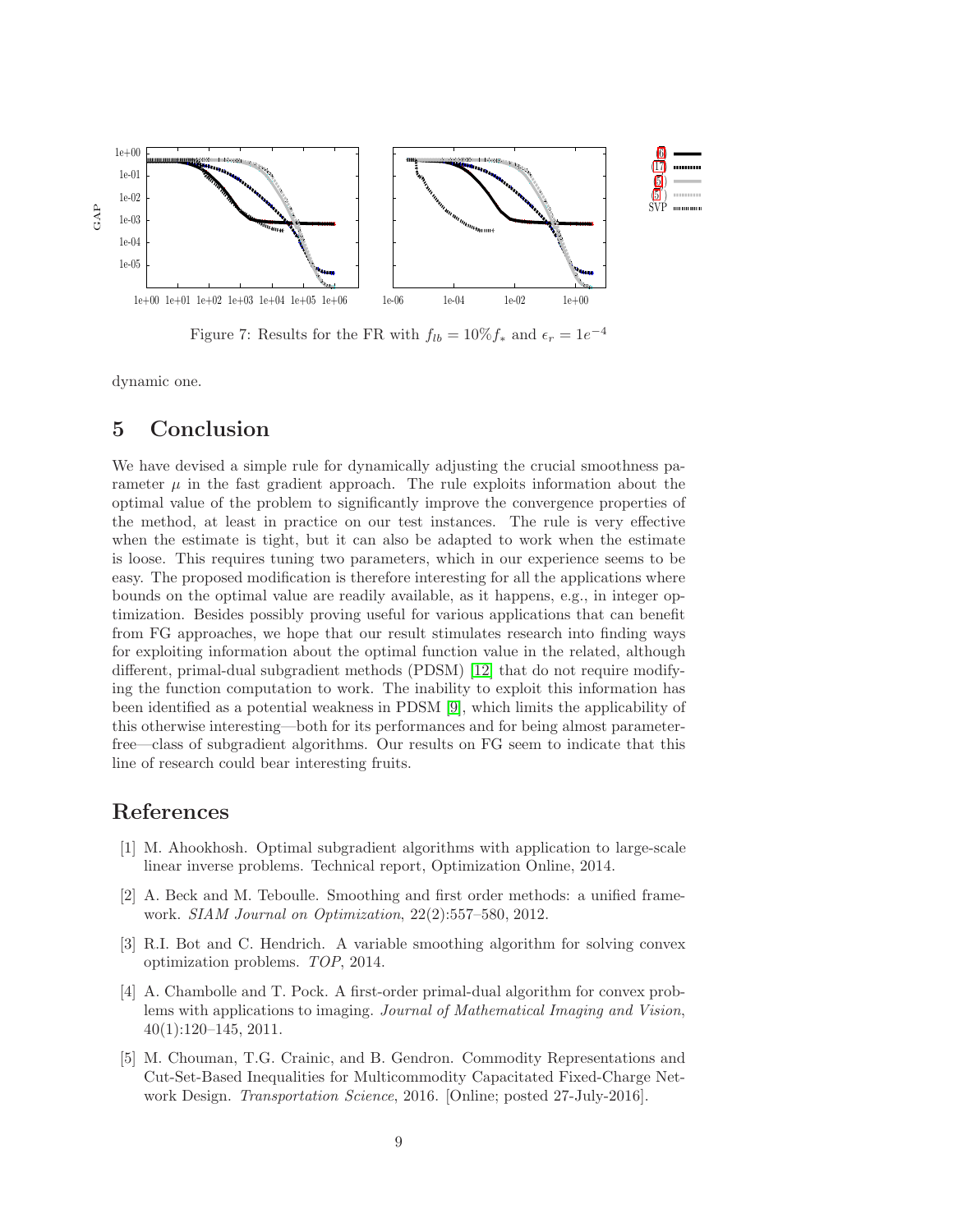

<span id="page-10-5"></span>Figure 7: Results for the FR with  $f_{lb} = 10\% f_*$  and  $\epsilon_r = 1e^{-4}$ 

dynamic one.

### 5 Conclusion

We have devised a simple rule for dynamically adjusting the crucial smoothness parameter  $\mu$  in the fast gradient approach. The rule exploits information about the optimal value of the problem to significantly improve the convergence properties of the method, at least in practice on our test instances. The rule is very effective when the estimate is tight, but it can also be adapted to work when the estimate is loose. This requires tuning two parameters, which in our experience seems to be easy. The proposed modification is therefore interesting for all the applications where bounds on the optimal value are readily available, as it happens, e.g., in integer optimization. Besides possibly proving useful for various applications that can benefit from FG approaches, we hope that our result stimulates research into finding ways for exploiting information about the optimal function value in the related, although different, primal-dual subgradient methods (PDSM) [\[12\]](#page-11-6) that do not require modifying the function computation to work. The inability to exploit this information has been identified as a potential weakness in PDSM [\[9\]](#page-11-1), which limits the applicability of this otherwise interesting—both for its performances and for being almost parameterfree—class of subgradient algorithms. Our results on FG seem to indicate that this line of research could bear interesting fruits.

# <span id="page-10-0"></span>References

- [1] M. Ahookhosh. Optimal subgradient algorithms with application to large-scale linear inverse problems. Technical report, Optimization Online, 2014.
- <span id="page-10-1"></span>[2] A. Beck and M. Teboulle. Smoothing and first order methods: a unified framework. SIAM Journal on Optimization, 22(2):557–580, 2012.
- <span id="page-10-2"></span>[3] R.I. Bot and C. Hendrich. A variable smoothing algorithm for solving convex optimization problems. TOP, 2014.
- <span id="page-10-3"></span>[4] A. Chambolle and T. Pock. A first-order primal-dual algorithm for convex problems with applications to imaging. Journal of Mathematical Imaging and Vision, 40(1):120–145, 2011.
- <span id="page-10-4"></span>[5] M. Chouman, T.G. Crainic, and B. Gendron. Commodity Representations and Cut-Set-Based Inequalities for Multicommodity Capacitated Fixed-Charge Network Design. Transportation Science, 2016. [Online; posted 27-July-2016].